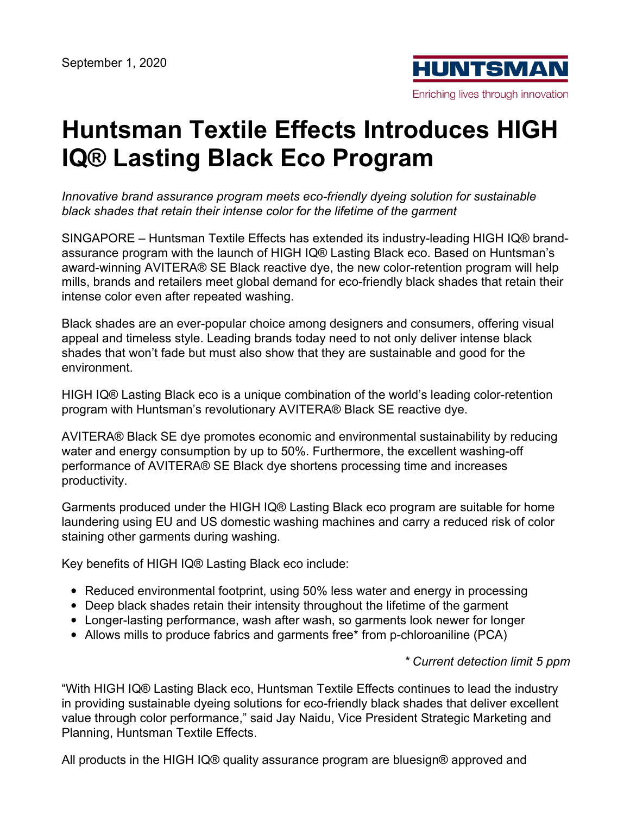

# **Huntsman Textile Effects Introduces HIGH IQ® Lasting Black Eco Program**

*Innovative brand assurance program meets eco-friendly dyeing solution for sustainable black shades that retain their intense color for the lifetime of the garment*

SINGAPORE – Huntsman Textile Effects has extended its industry-leading HIGH IQ® brandassurance program with the launch of HIGH IQ® Lasting Black eco. Based on Huntsman's award-winning AVITERA® SE Black reactive dye, the new color-retention program will help mills, brands and retailers meet global demand for eco-friendly black shades that retain their intense color even after repeated washing.

Black shades are an ever-popular choice among designers and consumers, offering visual appeal and timeless style. Leading brands today need to not only deliver intense black shades that won't fade but must also show that they are sustainable and good for the environment.

HIGH IQ® Lasting Black eco is a unique combination of the world's leading color-retention program with Huntsman's revolutionary AVITERA® Black SE reactive dye.

AVITERA® Black SE dye promotes economic and environmental sustainability by reducing water and energy consumption by up to 50%. Furthermore, the excellent washing-off performance of AVITERA® SE Black dye shortens processing time and increases productivity.

Garments produced under the HIGH IQ® Lasting Black eco program are suitable for home laundering using EU and US domestic washing machines and carry a reduced risk of color staining other garments during washing.

Key benefits of HIGH IQ® Lasting Black eco include:

- Reduced environmental footprint, using 50% less water and energy in processing
- Deep black shades retain their intensity throughout the lifetime of the garment
- Longer-lasting performance, wash after wash, so garments look newer for longer
- Allows mills to produce fabrics and garments free\* from p-chloroaniline (PCA)

#### *\* Current detection limit 5 ppm*

"With HIGH IQ® Lasting Black eco, Huntsman Textile Effects continues to lead the industry in providing sustainable dyeing solutions for eco-friendly black shades that deliver excellent value through color performance," said Jay Naidu, Vice President Strategic Marketing and Planning, Huntsman Textile Effects.

All products in the HIGH IQ® quality assurance program are bluesign® approved and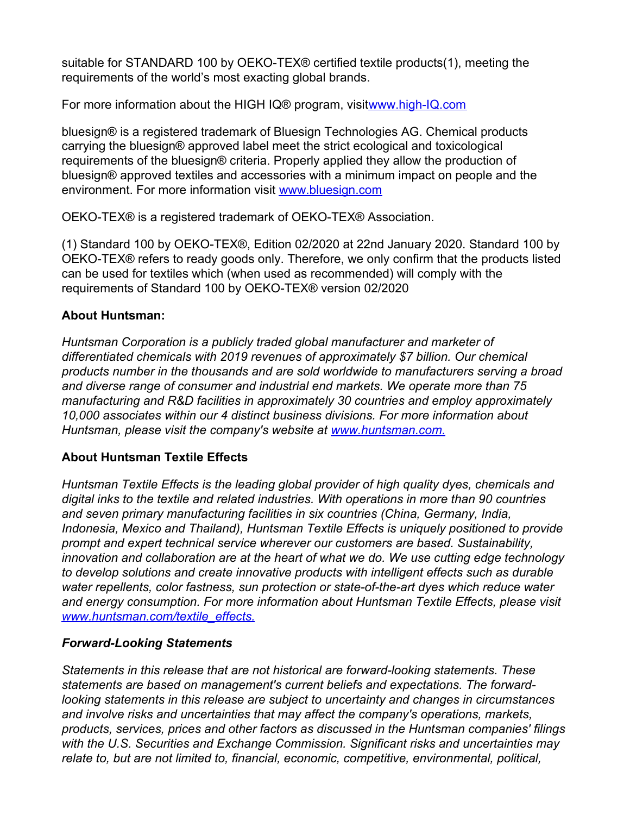suitable for STANDARD 100 by OEKO-TEX® certified textile products(1), meeting the requirements of the world's most exacting global brands.

For more information about the HIGH IQ® program, visi[twww.high-IQ.com](http://www.high-iq.com/)

bluesign® is a registered trademark of Bluesign Technologies AG. Chemical products carrying the bluesign® approved label meet the strict ecological and toxicological requirements of the bluesign® criteria. Properly applied they allow the production of bluesign® approved textiles and accessories with a minimum impact on people and the environment. For more information visit [www.bluesign.com](http://www.bluesign.com/)

OEKO-TEX® is a registered trademark of OEKO-TEX® Association.

(1) Standard 100 by OEKO-TEX®, Edition 02/2020 at 22nd January 2020. Standard 100 by OEKO-TEX® refers to ready goods only. Therefore, we only confirm that the products listed can be used for textiles which (when used as recommended) will comply with the requirements of Standard 100 by OEKO-TEX® version 02/2020

#### **About Huntsman:**

*Huntsman Corporation is a publicly traded global manufacturer and marketer of differentiated chemicals with 2019 revenues of approximately \$7 billion. Our chemical products number in the thousands and are sold worldwide to manufacturers serving a broad and diverse range of consumer and industrial end markets. We operate more than 75 manufacturing and R&D facilities in approximately 30 countries and employ approximately 10,000 associates within our 4 distinct business divisions. For more information about Huntsman, please visit the company's website at [www.huntsman.com.](http://www.huntsman.com/)*

# **About Huntsman Textile Effects**

*Huntsman Textile Effects is the leading global provider of high quality dyes, chemicals and digital inks to the textile and related industries. With operations in more than 90 countries and seven primary manufacturing facilities in six countries (China, Germany, India, Indonesia, Mexico and Thailand), Huntsman Textile Effects is uniquely positioned to provide prompt and expert technical service wherever our customers are based. Sustainability, innovation and collaboration are at the heart of what we do. We use cutting edge technology to develop solutions and create innovative products with intelligent effects such as durable water repellents, color fastness, sun protection or state-of-the-art dyes which reduce water and energy consumption. For more information about Huntsman Textile Effects, please visit [www.huntsman.com/textile\\_effects.](http://www.huntsman.com/textile_effects)*

# *Forward-Looking Statements*

*Statements in this release that are not historical are forward-looking statements. These statements are based on management's current beliefs and expectations. The forwardlooking statements in this release are subject to uncertainty and changes in circumstances and involve risks and uncertainties that may affect the company's operations, markets, products, services, prices and other factors as discussed in the Huntsman companies' filings with the U.S. Securities and Exchange Commission. Significant risks and uncertainties may relate to, but are not limited to, financial, economic, competitive, environmental, political,*